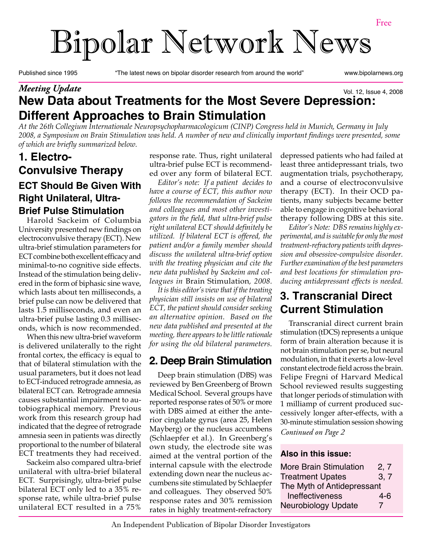# Bipolar Network News

Published since 1995 "The latest news on bipolar disorder research from around the world" www.bipolarnews.org

#### **New Data about Treatments for the Most Severe Depression: Different Approaches to Brain Stimulation** Vol. 12, Issue 4, 2008 *Meeting Update*

*At the 26th Collegium Internationale Neuropsychopharmacologicum (CINP) Congress held in Munich, Germany in July 2008, a Symposium on Brain Stimulation was held. A number of new and clinically important findings were presented, some of which are briefly summarized below.*

#### **ECT Should Be Given With Right Unilateral, Ultra-Brief Pulse Stimulation 1. Electro-Convulsive Therapy**

Harold Sackeim of Columbia University presented new findings on electroconvulsive therapy (ECT). New ultra-brief stimulation parameters for ECT combine both excellent efficacy and minimal-to-no cognitive side effects. Instead of the stimulation being delivered in the form of biphasic sine wave, which lasts about ten milliseconds, a brief pulse can now be delivered that lasts 1.5 milliseconds, and even an ultra-brief pulse lasting 0.3 milliseconds, which is now recommended.

When this new ultra-brief waveform is delivered unilaterally to the right frontal cortex, the efficacy is equal to that of bilateral stimulation with the usual parameters, but it does not lead to ECT-induced retrograde amnesia, as bilateral ECT can. Retrograde amnesia causes substantial impairment to autobiographical memory. Previous work from this research group had indicated that the degree of retrograde amnesia seen in patients was directly proportional to the number of bilateral ECT treatments they had received.

Sackeim also compared ultra-brief unilateral with ultra-brief bilateral ECT. Surprisingly, ultra-brief pulse bilateral ECT only led to a 35% response rate, while ultra-brief pulse unilateral ECT resulted in a 75%

response rate. Thus, right unilateral ultra-brief pulse ECT is recommended over any form of bilateral ECT.

*Editor's note: If a patient decides to have a course of ECT, this author now follows the recommendation of Sackeim and colleagues and most other investigators in the field, that ultra-brief pulse right unilateral ECT should definitely be utilized. If bilateral ECT is offered, the patient and/or a family member should discuss the unilateral ultra-brief option with the treating physician and cite the new data published by Sackeim and colleagues in* Brain Stimulation*, 2008.*

*It is this editor's view that if the treating physician still insists on use of bilateral ECT, the patient should consider seeking an alternative opinion. Based on the new data published and presented at the meeting, there appears to be little rationale for using the old bilateral parameters.*

# **2. Deep Brain Stimulation**

Deep brain stimulation (DBS) was reviewed by Ben Greenberg of Brown Medical School. Several groups have reported response rates of 50% or more with DBS aimed at either the anterior cingulate gyrus (area 25, Helen Mayberg) or the nucleus accumbens (Schlaepfer et al.). In Greenberg's own study, the electrode site was aimed at the ventral portion of the internal capsule with the electrode extending down near the nucleus accumbens site stimulated by Schlaepfer and colleagues. They observed 50% response rates and 30% remission rates in highly treatment-refractory

depressed patients who had failed at least three antidepressant trials, two augmentation trials, psychotherapy, and a course of electroconvulsive therapy (ECT). In their OCD patients, many subjects became better able to engage in cognitive behavioral therapy following DBS at this site.

*Editor's Note: DBS remains highly experimental, and is suitable for only the most treatment-refractory patients with depression and obsessive-compulsive disorder. Further examination of the best parameters and best locations for stimulation producing antidepressant effects is needed.*

# **3. Transcranial Direct Current Stimulation**

Transcranial direct current brain stimulation (tDCS) represents a unique form of brain alteration because it is not brain stimulation per se, but neural modulation, in that it exerts a low-level constant electrode field across the brain. Felipe Fregni of Harvard Medical School reviewed results suggesting that longer periods of stimulation with 1 milliamp of current produced successively longer after-effects, with a 30-minute stimulation session showing *Continued on Page 2*

#### **Also in this issue:**

| <b>More Brain Stimulation</b> | 2, 7  |  |
|-------------------------------|-------|--|
| <b>Treatment Upates</b>       | 3, 7  |  |
| The Myth of Antidepressant    |       |  |
| Ineffectiveness               | $4-6$ |  |
| <b>Neurobiology Update</b>    | 7     |  |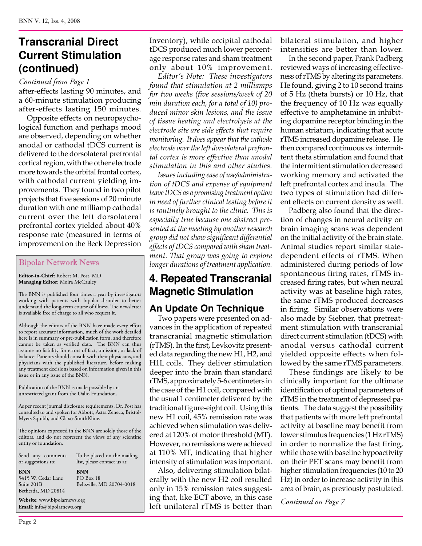# **Transcranial Direct Current Stimulation (continued)**

after-effects lasting 90 minutes, and a 60-minute stimulation producing after-effects lasting 150 minutes. *Continued from Page 1*

Opposite effects on neuropsychological function and perhaps mood are observed, depending on whether anodal or cathodal tDCS current is delivered to the dorsolateral prefrontal cortical region, with the other electrode more towards the orbital frontal cortex, with cathodal current yielding improvements. They found in two pilot projects that five sessions of 20 minute duration with one milliamp cathodal current over the left dorsolateral prefrontal cortex yielded about 40% response rate (measured in terms of improvement on the Beck Depression

#### Bipolar Network News

**Editor-in-Chief**: Robert M. Post, MD **Managing Editor**: Moira McCauley

The BNN is published four times a year by investigators working with patients with bipolar disorder to better understand the long-term course of illness. The newsletter is available free of charge to all who request it.

Although the editors of the BNN have made every effort to report accurate information, much of the work detailed here is in summary or pre-publication form, and therefore cannot be taken as verified data. The BNN can thus assume no liability for errors of fact, omission, or lack of balance. Patients should consult with their physicians, and physicians with the published literature, before making any treatment decisions based on information given in this issue or in any issue of the BNN.

Publication of the BNN is made possible by an unrestricted grant from the Dalio Foundation.

As per recent journal disclosure requirements, Dr. Post has consulted to and spoken for Abbott, Astra Zeneca, Bristol-Myers Squibb, and Glaxo-SmithKline.

The opinions expressed in the BNN are solely those of the editors, and do not represent the views of any scientific entity or foundation.

| Send any comments<br>or suggestions to:                              | To be placed on the mailing<br>list, please contact us at: |  |
|----------------------------------------------------------------------|------------------------------------------------------------|--|
| <b>BNN</b><br>5415 W. Cedar Lane<br>Suite 201B<br>Bethesda, MD 20814 | <b>BNN</b><br>PO Box 18<br>Beltsville, MD 20704-0018       |  |
| Website: www.bipolarnews.org<br>Email: info@bipolarnews.org          |                                                            |  |

Page 2

Inventory), while occipital cathodal tDCS produced much lower percentage response rates and sham treatment only about 10% improvement.

*Editor's Note: These investigators found that stimulation at 2 milliamps for two weeks (five sessions/week of 20 min duration each, for a total of 10) produced minor skin lesions, and the issue of tissue heating and electrolysis at the electrode site are side effects that require monitoring. It does appear that the cathode electrode over the left dorsolateral prefrontal cortex is more effective than anodal stimulation in this and other studies.* 

*Issues including ease of use/administration of tDCS and expense of equipment leave tDCS as a promising treatment option in need of further clinical testing before it is routinely brought to the clinic. This is especially true because one abstract presented at the meeting by another research group did not show significant differential effects of tDCS compared with sham treatment. That group was going to explore longer durations of treatment application.*

#### **4. Repeated Transcranial Magnetic Stimulation**

#### **An Update On Technique**

Two papers were presented on advances in the application of repeated transcranial magnetic stimulation (rTMS). In the first, Levkovitz presented data regarding the new H1, H2, and H1L coils. They deliver stimulation deeper into the brain than standard rTMS, approximately 5-6 centimeters in the case of the H1 coil, compared with the usual 1 centimeter delivered by the traditional figure-eight coil. Using this new H1 coil, 45% remission rate was achieved when stimulation was delivered at 120% of motor threshold (MT). However, no remissions were achieved at 110% MT, indicating that higher intensity of stimulation was important.

Also, delivering stimulation bilaterally with the new H2 coil resulted only in 15% remission rates suggesting that, like ECT above, in this case left unilateral rTMS is better than bilateral stimulation, and higher intensities are better than lower.

In the second paper, Frank Padberg reviewed ways of increasing effectiveness of rTMS by altering its parameters. He found, giving 2 to 10 second trains of 5 Hz (theta bursts) or 10 Hz, that the frequency of 10 Hz was equally effective to amphetamine in inhibiting dopamine receptor binding in the human striatum, indicating that acute rTMS increased dopamine release. He then compared continuous vs. intermittent theta stimulation and found that the intermittent stimulation decreased working memory and activated the left prefrontal cortex and insula. The two types of stimulation had different effects on current density as well.

Padberg also found that the direction of changes in neural activity on brain imaging scans was dependent on the initial activity of the brain state. Animal studies report similar statedependent effects of rTMS. When administered during periods of low spontaneous firing rates, rTMS increased firing rates, but when neural activity was at baseline high rates, the same rTMS produced decreases in firing. Similar observations were also made by Siebner, that pretreatment stimulation with transcranial direct current stimulation (tDCS) with anodal versus cathodal current yielded opposite effects when followed by the same rTMS parameters.

These findings are likely to be clinically important for the ultimate identification of optimal parameters of rTMS in the treatment of depressed patients. The data suggest the possibility that patients with more left prefrontal activity at baseline may benefit from lower stimulus frequencies (1 Hz rTMS) in order to normalize the fast firing, while those with baseline hypoactivity on their PET scans may benefit from higher stimulation frequencies (10 to 20 Hz) in order to increase activity in this area of brain, as previously postulated.

*Continued on Page 7*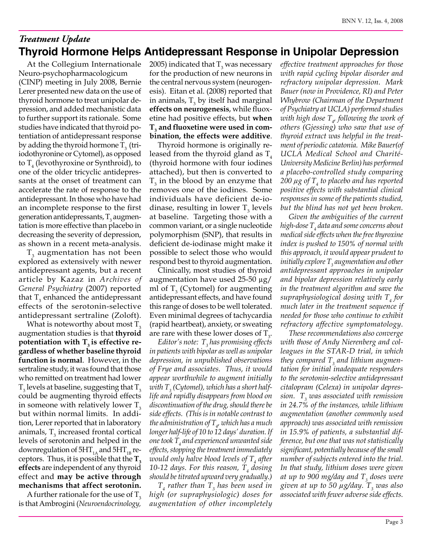#### **Thyroid Hormone Helps Antidepressant Response in Unipolar Depression** *Treatment Update*

At the Collegium Internationale Neuro-psychopharmacologicum (CINP) meeting in July 2008, Bernie Lerer presented new data on the use of thyroid hormone to treat unipolar depression, and added mechanistic data to further support its rationale. Some studies have indicated that thyroid potentiation of antidepressant response by adding the thyroid hormone  $T_3$  (triiodothyronine or Cytomel), as opposed to  $T_4$  (levothyroxine or Synthroid), to one of the older tricyclic antidepressants at the onset of treatment can accelerate the rate of response to the antidepressant. In those who have had an incomplete response to the first generation antidepressants,  $\mathrm{T}_\mathrm{3}$  augmentation is more effective than placebo in decreasing the severity of depression, as shown in a recent meta-analysis.

 $T_{3}$  augmentation has not been explored as extensively with newer antidepressant agents, but a recent article by Kazaz in *Archives of General Psychiatry* (2007) reported that  $T_3$  enhanced the antidepressant effects of the serotonin-selective antidepressant sertraline (Zoloft).

What is noteworthy about most  $T<sub>3</sub>$ augmentation studies is that **thyroid** potentiation with  $T<sub>3</sub>$  is effective re**gardless of whether baseline thyroid function is normal**. However, in the sertraline study, it was found that those who remitted on treatment had lower  $\mathrm{T}_3$  levels at baseline, suggesting that  $\mathrm{T}_3$ could be augmenting thyroid effects in someone with relatively lower  $T_3$ but within normal limits. In addition, Lerer reported that in laboratory animals,  $T_{3}$  increased frontal cortical levels of serotonin and helped in the downregulation of  $5HT_{1A}$  and  $5HT_{1B}$  receptors. Thus, it is possible that the  $T<sub>3</sub>$ **effects** are independent of any thyroid effect and **may be active through mechanisms that affect serotonin.**

A further rationale for the use of  $T<sub>3</sub>$ is that Ambrogini (*Neuroendocrinology,* 

2005) indicated that  $T_3$  was necessary for the production of new neurons in the central nervous system (neurogenesis). Eitan et al. (2008) reported that in animals,  $T_{3}$  by itself had marginal **effects on neurogenesis**, while fluoxetine had positive effects, but **when**   $\mathbf{T}_{\mathbf{3}}$  and fluoxetine were used in com**bination, the effects were additive**.

Thyroid hormone is originally released from the thyroid gland as  $T_4$ (thyroid hormone with four iodines attached), but then is converted to  $T<sub>3</sub>$  in the blood by an enzyme that removes one of the iodines. Some individuals have deficient de-iodinase, resulting in lower  $T_3$  levels at baseline. Targeting those with a common variant, or a single nucleotide polymorphism (SNP), that results in deficient de-iodinase might make it possible to select those who would respond best to thyroid augmentation.

Clinically, most studies of thyroid augmentation have used 25-50 µg/ ml of  $T_3$  (Cytomel) for augmenting antidepressant effects, and have found this range of doses to be well tolerated. Even minimal degrees of tachycardia (rapid heartbeat), anxiety, or sweating are rare with these lower doses of  $T_{3}$ .

*Editor's note: T3 has promising effects in patients with bipolar as well as unipolar depression, in unpublished observations of Frye and associates. Thus, it would appear worthwhile to augment initially with T3 (Cytomel), which has a short halflife and rapidly disappears from blood on discontinuation of the drug, should there be side effects. (This is in notable contrast to the administration of T4 , which has a much longer half-life of 10 to 12 days' duration. If one took T4 and experienced unwanted side effects, stopping the treatment immediately*   $\omega$ ould only halve blood levels of  $T_{_{4}}$  after 10-12 *days.* For this reason, T<sub>4</sub> dosing *should be titrated upward very gradually.)*

 $T_4$  rather than  $T_3$  has been used in *high (or supraphysiologic) doses for augmentation of other incompletely* 

*effective treatment approaches for those with rapid cycling bipolar disorder and refractory unipolar depression. Mark Bauer (now in Providence, RI) and Peter Whybrow (Chairman of the Department of Psychiatry at UCLA) performed studies with high dose T4 , following the work of others (Gjessing) who saw that use of thyroid extract was helpful in the treatment of periodic catatonia. Mike Bauer(of UCLA Medical School and Charité-University Medicine Berlin) has performed a placebo-controlled study comparing 200 µg of T4 to placebo and has reported positive effects with substantial clinical responses in some of the patients studied, but the blind has not yet been broken.* 

*Given the ambiguities of the current high-dose T4 data and some concerns about medical side effects when the free thyroxine index is pushed to 150% of normal with this approach, it would appear prudent to*  initially explore  $T_{_3}$  augmentation and other *antidepressant approaches in unipolar and bipolar depression relatively early in the treatment algorithm and save the supraphysiological dosing with T4 for much later in the treatment sequence if needed for those who continue to exhibit refractory affective symptomatology.* 

*These recommendations also converge with those of Andy Nierenberg and colleagues in the STAR-D trial, in which*  they compared  $T_{\overline{3}}$  and lithium augmen*tation for initial inadequate responders to the serotonin-selective antidepressant citalopram (Celexa) in unipolar depression. T3 was associated with remission in 24.7% of the instances, while lithium augmentation (another commonly used approach) was associated with remission in 15.9% of patients, a substantial difference, but one that was not statistically significant, potentially because of the small number of subjects entered into the trial. In that study, lithium doses were given at up to 900 mg/day and T3 doses were given at up to 50 µg/day. T3 was also associated with fewer adverse side effects.*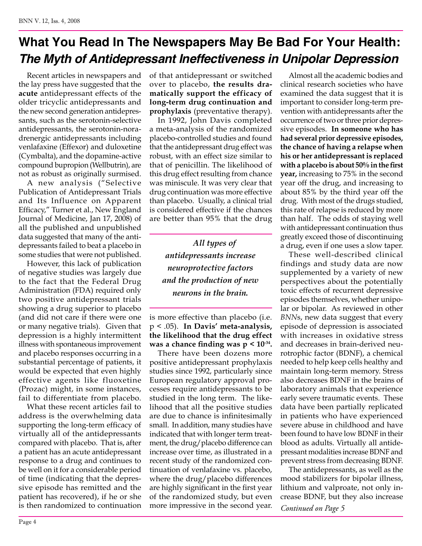# **What You Read In The Newspapers May Be Bad For Your Health:**  *The Myth of Antidepressant Ineffectiveness in Unipolar Depression*

Recent articles in newspapers and the lay press have suggested that the **acute** antidepressant effects of the older tricyclic antidepressants and the new second generation antidepressants, such as the serotonin-selective antidepressants, the serotonin-noradrenergic antidepressants including venlafaxine (Effexor) and duloxetine (Cymbalta), and the dopamine-active compound bupropion (Wellbutrin), are not as robust as originally surmised.

A new analysis ("Selective Publication of Antidepressant Trials and Its Influence on Apparent Efficacy," Turner et al., New England Journal of Medicine, Jan 17, 2008) of all the published and unpublished data suggested that many of the antidepressants failed to beat a placebo in some studies that were not published.

However, this lack of publication of negative studies was largely due to the fact that the Federal Drug Administration (FDA) required only two positive antidepressant trials showing a drug superior to placebo (and did not care if there were one or many negative trials). Given that depression is a highly intermittent illness with spontaneous improvement and placebo responses occurring in a substantial percentage of patients, it would be expected that even highly effective agents like fluoxetine (Prozac) might, in some instances, fail to differentiate from placebo.

What these recent articles fail to address is the overwhelming data supporting the long-term efficacy of virtually all of the antidepressants compared with placebo. That is, after a patient has an acute antidepressant response to a drug and continues to be well on it for a considerable period of time (indicating that the depressive episode has remitted and the patient has recovered), if he or she is then randomized to continuation

of that antidepressant or switched over to placebo, **the results dramatically support the efficacy of long-term drug continuation and prophylaxis** (preventative therapy).

In 1992, John Davis completed a meta-analysis of the randomized placebo-controlled studies and found that the antidepressant drug effect was robust, with an effect size similar to that of penicillin. The likelihood of this drug effect resulting from chance was miniscule. It was very clear that drug continuation was more effective than placebo. Usually, a clinical trial is considered effective if the chances are better than 95% that the drug

> *All types of antidepressants increase neuroprotective factors and the production of new neurons in the brain.*

is more effective than placebo (i.e. p < .05). **In Davis' meta-analysis, the likelihood that the drug effect was a chance finding was p < 10-34.** 

There have been dozens more positive antidepressant prophylaxis studies since 1992, particularly since European regulatory approval processes require antidepressants to be studied in the long term. The likelihood that all the positive studies are due to chance is infinitesimally small. In addition, many studies have indicated that with longer term treatment, the drug/placebo difference can increase over time, as illustrated in a recent study of the randomized continuation of venlafaxine vs. placebo, where the drug/placebo differences are highly significant in the first year of the randomized study, but even more impressive in the second year. *Continued on Page 5*

Almost all the academic bodies and clinical research societies who have examined the data suggest that it is important to consider long-term prevention with antidepressants after the occurrence of two or three prior depressive episodes. **In someone who has had several prior depressive episodes, the chance of having a relapse when his or her antidepressant is replaced with a placebo is about 50% in the first year,** increasing to 75% in the second year off the drug, and increasing to about 85% by the third year off the drug. With most of the drugs studied, this rate of relapse is reduced by more than half. The odds of staying well with antidepressant continuation thus greatly exceed those of discontinuing a drug, even if one uses a slow taper.

These well-described clinical findings and study data are now supplemented by a variety of new perspectives about the potentially toxic effects of recurrent depressive episodes themselves, whether unipolar or bipolar. As reviewed in other *BNN*s, new data suggest that every episode of depression is associated with increases in oxidative stress and decreases in brain-derived neurotrophic factor (BDNF), a chemical needed to help keep cells healthy and maintain long-term memory. Stress also decreases BDNF in the brains of laboratory animals that experience early severe traumatic events. These data have been partially replicated in patients who have experienced severe abuse in childhood and have been found to have low BDNF in their blood as adults. Virtually all antidepressant modalities increase BDNF and prevent stress from decreasing BDNF.

The antidepressants, as well as the mood stabilizers for bipolar illness, lithium and valproate, not only increase BDNF, but they also increase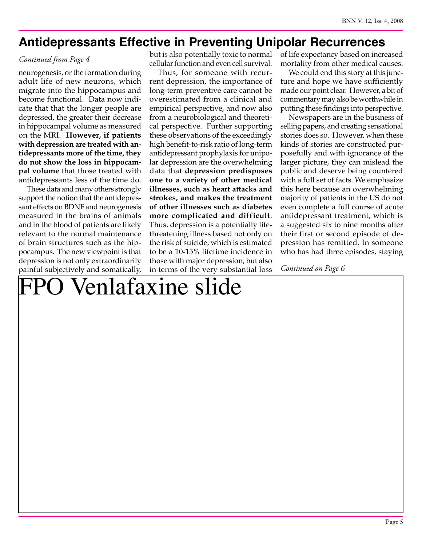#### **Antidepressants Effective in Preventing Unipolar Recurrences**

#### *Continued from Page 4*

neurogenesis, or the formation during adult life of new neurons, which migrate into the hippocampus and become functional. Data now indicate that that the longer people are depressed, the greater their decrease in hippocampal volume as measured on the MRI. **However, if patients with depression are treated with antidepressants more of the time, they do not show the loss in hippocampal volume** that those treated with antidepressants less of the time do.

These data and many others strongly support the notion that the antidepressant effects on BDNF and neurogenesis measured in the brains of animals and in the blood of patients are likely relevant to the normal maintenance of brain structures such as the hippocampus. The new viewpoint is that depression is not only extraordinarily painful subjectively and somatically, but is also potentially toxic to normal cellular function and even cell survival.

Thus, for someone with recurrent depression, the importance of long-term preventive care cannot be overestimated from a clinical and empirical perspective, and now also from a neurobiological and theoretical perspective. Further supporting these observations of the exceedingly high benefit-to-risk ratio of long-term antidepressant prophylaxis for unipolar depression are the overwhelming data that **depression predisposes one to a variety of other medical illnesses, such as heart attacks and strokes, and makes the treatment of other illnesses such as diabetes more complicated and difficult**. Thus, depression is a potentially lifethreatening illness based not only on the risk of suicide, which is estimated to be a 10-15% lifetime incidence in those with major depression, but also in terms of the very substantial loss

of life expectancy based on increased mortality from other medical causes.

We could end this story at this juncture and hope we have sufficiently made our point clear. However, a bit of commentary may also be worthwhile in putting these findings into perspective.

Newspapers are in the business of selling papers, and creating sensational stories does so. However, when these kinds of stories are constructed purposefully and with ignorance of the larger picture, they can mislead the public and deserve being countered with a full set of facts. We emphasize this here because an overwhelming majority of patients in the US do not even complete a full course of acute antidepressant treatment, which is a suggested six to nine months after their first or second episode of depression has remitted. In someone who has had three episodes, staying

*Continued on Page 6*

# FPO Venlafaxine slide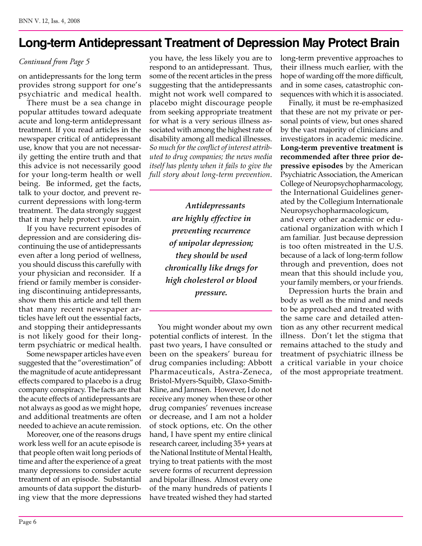# **Long-term Antidepressant Treatment of Depression May Protect Brain**

#### *Continued from Page 5*

on antidepressants for the long term provides strong support for one's psychiatric and medical health.

There must be a sea change in popular attitudes toward adequate acute and long-term antidepressant treatment. If you read articles in the newspaper critical of antidepressant use, know that you are not necessarily getting the entire truth and that this advice is not necessarily good for your long-term health or well being. Be informed, get the facts, talk to your doctor, and prevent recurrent depressions with long-term treatment. The data strongly suggest that it may help protect your brain.

If you have recurrent episodes of depression and are considering discontinuing the use of antidepressants even after a long period of wellness, you should discuss this carefully with your physician and reconsider. If a friend or family member is considering discontinuing antidepressants, show them this article and tell them that many recent newspaper articles have left out the essential facts, and stopping their antidepressants is not likely good for their longterm psychiatric or medical health.

Some newspaper articles have even suggested that the "overestimation" of the magnitude of acute antidepressant effects compared to placebo is a drug company conspiracy. The facts are that the acute effects of antidepressants are not always as good as we might hope, and additional treatments are often needed to achieve an acute remission.

Moreover, one of the reasons drugs work less well for an acute episode is that people often wait long periods of time and after the experience of a great many depressions to consider acute treatment of an episode. Substantial amounts of data support the disturbing view that the more depressions

you have, the less likely you are to respond to an antidepressant. Thus, some of the recent articles in the press suggesting that the antidepressants might not work well compared to placebo might discourage people from seeking appropriate treatment for what is a very serious illness associated with among the highest rate of disability among all medical illnesses. *So much for the conflict of interest attributed to drug companies; the news media itself has plenty when it fails to give the full story about long-term prevention*.

> *Antidepressants are highly effective in preventing recurrence of unipolar depression; they should be used chronically like drugs for high cholesterol or blood pressure.*

You might wonder about my own potential conflicts of interest. In the past two years, I have consulted or been on the speakers' bureau for drug companies including: Abbott Pharmaceuticals, Astra-Zeneca, Bristol-Myers-Squibb, Glaxo-Smith-Kline, and Jannsen. However, I do not receive any money when these or other drug companies' revenues increase or decrease, and I am not a holder of stock options, etc. On the other hand, I have spent my entire clinical research career, including 35+ years at the National Institute of Mental Health, trying to treat patients with the most severe forms of recurrent depression and bipolar illness. Almost every one of the many hundreds of patients I have treated wished they had started

long-term preventive approaches to their illness much earlier, with the hope of warding off the more difficult, and in some cases, catastrophic consequences with which it is associated.

Finally, it must be re-emphasized that these are not my private or personal points of view, but ones shared by the vast majority of clinicians and investigators in academic medicine. **Long-term preventive treatment is recommended after three prior depressive episodes** by the American Psychiatric Association, the American College of Neuropsychopharmacology, the International Guidelines generated by the Collegium Internationale Neuropsychopharmacologicum, and every other academic or educational organization with which I am familiar. Just because depression is too often mistreated in the U.S. because of a lack of long-term follow through and prevention, does not mean that this should include you, your family members, or your friends.

Depression hurts the brain and body as well as the mind and needs to be approached and treated with the same care and detailed attention as any other recurrent medical illness. Don't let the stigma that remains attached to the study and treatment of psychiatric illness be a critical variable in your choice of the most appropriate treatment.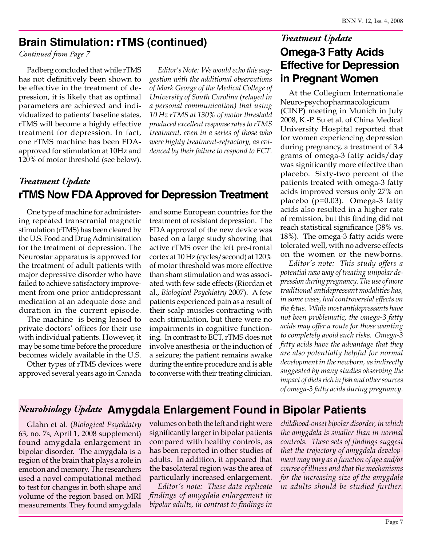#### **Brain Stimulation: rTMS (continued)**

*Continued from Page 7*

Padberg concluded that while rTMS has not definitively been shown to be effective in the treatment of depression, it is likely that as optimal parameters are achieved and individualized to patients' baseline states, rTMS will become a highly effective treatment for depression. In fact, one rTMS machine has been FDAapproved for stimulation at 10Hz and 120% of motor threshold (see below).

*Editor's Note: We would echo this suggestion with the additional observations of Mark George of the Medical College of University of South Carolina (relayed in a personal communication) that using 10 Hz rTMS at 130% of motor threshold produced excellent response rates to rTMS treatment, even in a series of those who were highly treatment-refractory, as evidenced by their failure to respond to ECT.*

#### **rTMS Now FDA Approved for Depression Treatment** *Treatment Update*

One type of machine for administering repeated transcranial magnetic stimulation (rTMS) has been cleared by the U.S. Food and Drug Administration for the treatment of depression. The Neurostar apparatus is approved for the treatment of adult patients with major depressive disorder who have failed to achieve satisfactory improvement from one prior antidepressant medication at an adequate dose and duration in the current episode.

The machine is being leased to private doctors' offices for their use with individual patients. However, it may be some time before the procedure becomes widely available in the U.S.

Other types of rTMS devices were approved several years ago in Canada and some European countries for the treatment of resistant depression. The FDA approval of the new device was based on a large study showing that active rTMS over the left pre-frontal cortex at 10 Hz (cycles/second) at 120% of motor threshold was more effective than sham stimulation and was associated with few side effects (Riordan et al., *Biological Psychiatry* 2007). A few patients experienced pain as a result of their scalp muscles contracting with each stimulation, but there were no impairments in cognitive functioning. In contrast to ECT, rTMS does not involve anesthesia or the induction of a seizure; the patient remains awake during the entire procedure and is able to converse with their treating clinician.

#### **Omega-3 Fatty Acids Effective for Depression in Pregnant Women** *Treatment Update*

At the Collegium Internationale Neuro-psychopharmacologicum (CINP) meeting in Munich in July 2008, K.-P. Su et al. of China Medical University Hospital reported that for women experiencing depression during pregnancy, a treatment of 3.4 grams of omega-3 fatty acids/day was significantly more effective than placebo. Sixty-two percent of the patients treated with omega-3 fatty acids improved versus only 27% on placebo (p=0.03). Omega-3 fatty acids also resulted in a higher rate of remission, but this finding did not reach statistical significance (38% vs. 18%). The omega-3 fatty acids were tolerated well, with no adverse effects on the women or the newborns.

*Editor's note: This study offers a potential new way of treating unipolar depression during pregnancy. The use of more traditional antidepressant modalities has, in some cases, had controversial effects on the fetus. While most antidepressants have not been problematic, the omega-3 fatty acids may offer a route for those wanting to completely avoid such risks. Omega-3 fatty acids have the advantage that they are also potentially helpful for normal development in the newborn, as indirectly suggested by many studies observing the impact of diets rich in fish and other sources of omega-3 fatty acids during pregnancy.*

#### **Amygdala Enlargement Found in Bipolar Patients** *Neurobiology Update*

Glahn et al. (*Biological Psychiatry* 63, no. 7s, April 1, 2008 supplement) found amygdala enlargement in bipolar disorder. The amygdala is a region of the brain that plays a role in emotion and memory. The researchers used a novel computational method to test for changes in both shape and volume of the region based on MRI measurements. They found amygdala

volumes on both the left and right were significantly larger in bipolar patients compared with healthy controls, as has been reported in other studies of adults. In addition, it appeared that the basolateral region was the area of particularly increased enlargement.

*Editor's note: These data replicate findings of amygdala enlargement in bipolar adults, in contrast to findings in* 

*childhood-onset bipolar disorder, in which the amygdala is smaller than in normal controls. These sets of findings suggest that the trajectory of amygdala development may vary as a function of age and/or course of illness and that the mechanisms for the increasing size of the amygdala in adults should be studied further.*